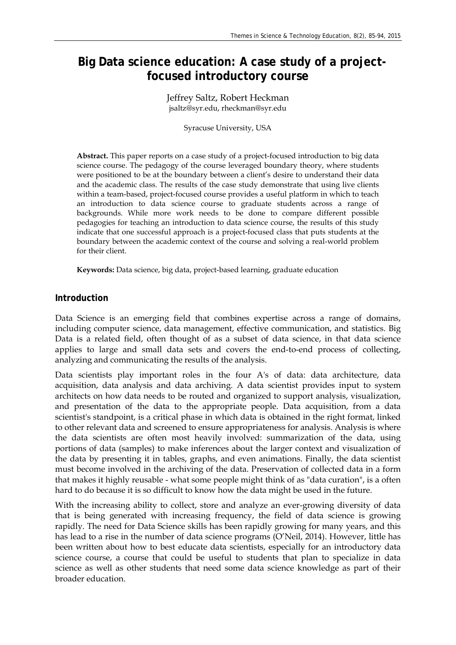# **Big Data science education: A case study of a projectfocused introductory course**

Jeffrey Saltz, Robert Heckman jsaltz@syr.edu, rheckman@syr.edu

Syracuse University, USA

**Abstract.** This paper reports on a case study of a project-focused introduction to big data science course. The pedagogy of the course leveraged boundary theory, where students were positioned to be at the boundary between a client's desire to understand their data and the academic class. The results of the case study demonstrate that using live clients within a team-based, project-focused course provides a useful platform in which to teach an introduction to data science course to graduate students across a range of backgrounds. While more work needs to be done to compare different possible pedagogies for teaching an introduction to data science course, the results of this study indicate that one successful approach is a project-focused class that puts students at the boundary between the academic context of the course and solving a real-world problem for their client.

**Keywords:** Data science, big data, project-based learning, graduate education

## **Introduction**

Data Science is an emerging field that combines expertise across a range of domains, including computer science, data management, effective communication, and statistics. Big Data is a related field, often thought of as a subset of data science, in that data science applies to large and small data sets and covers the end-to-end process of collecting, analyzing and communicating the results of the analysis.

Data scientists play important roles in the four A's of data: data architecture, data acquisition, data analysis and data archiving. A data scientist provides input to system architects on how data needs to be routed and organized to support analysis, visualization, and presentation of the data to the appropriate people. Data acquisition, from a data scientist's standpoint, is a critical phase in which data is obtained in the right format, linked to other relevant data and screened to ensure appropriateness for analysis. Analysis is where the data scientists are often most heavily involved: summarization of the data, using portions of data (samples) to make inferences about the larger context and visualization of the data by presenting it in tables, graphs, and even animations. Finally, the data scientist must become involved in the archiving of the data. Preservation of collected data in a form that makes it highly reusable - what some people might think of as "data curation", is a often hard to do because it is so difficult to know how the data might be used in the future.

With the increasing ability to collect, store and analyze an ever-growing diversity of data that is being generated with increasing frequency, the field of data science is growing rapidly. The need for Data Science skills has been rapidly growing for many years, and this has lead to a rise in the number of data science programs (O'Neil, 2014). However, little has been written about how to best educate data scientists, especially for an introductory data science course, a course that could be useful to students that plan to specialize in data science as well as other students that need some data science knowledge as part of their broader education.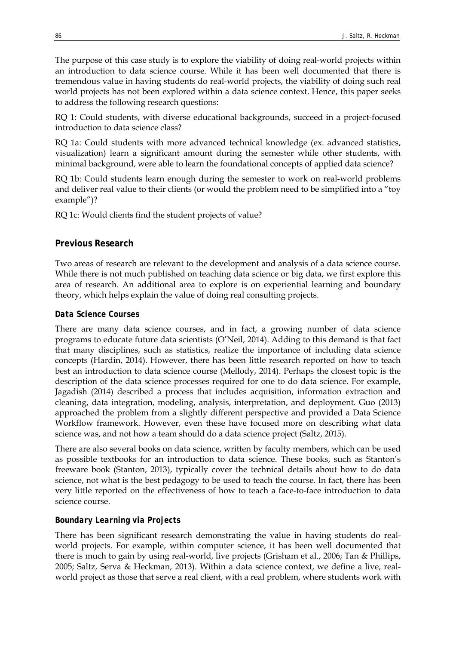The purpose of this case study is to explore the viability of doing real-world projects within an introduction to data science course. While it has been well documented that there is tremendous value in having students do real-world projects, the viability of doing such real world projects has not been explored within a data science context. Hence, this paper seeks to address the following research questions:

RQ 1: Could students, with diverse educational backgrounds, succeed in a project-focused introduction to data science class?

RQ 1a: Could students with more advanced technical knowledge (ex. advanced statistics, visualization) learn a significant amount during the semester while other students, with minimal background, were able to learn the foundational concepts of applied data science?

RQ 1b: Could students learn enough during the semester to work on real-world problems and deliver real value to their clients (or would the problem need to be simplified into a "toy example")?

RQ 1c: Would clients find the student projects of value?

#### **Previous Research**

Two areas of research are relevant to the development and analysis of a data science course. While there is not much published on teaching data science or big data, we first explore this area of research. An additional area to explore is on experiential learning and boundary theory, which helps explain the value of doing real consulting projects.

### *Data Science Courses*

There are many data science courses, and in fact, a growing number of data science programs to educate future data scientists (O'Neil, 2014). Adding to this demand is that fact that many disciplines, such as statistics, realize the importance of including data science concepts (Hardin, 2014). However, there has been little research reported on how to teach best an introduction to data science course (Mellody, 2014). Perhaps the closest topic is the description of the data science processes required for one to do data science. For example, Jagadish (2014) described a process that includes acquisition, information extraction and cleaning, data integration, modeling, analysis, interpretation, and deployment. Guo (2013) approached the problem from a slightly different perspective and provided a Data Science Workflow framework. However, even these have focused more on describing what data science was, and not how a team should do a data science project (Saltz, 2015).

There are also several books on data science, written by faculty members, which can be used as possible textbooks for an introduction to data science. These books, such as Stanton's freeware book (Stanton, 2013), typically cover the technical details about how to do data science, not what is the best pedagogy to be used to teach the course. In fact, there has been very little reported on the effectiveness of how to teach a face-to-face introduction to data science course.

#### *Boundary Learning via Projects*

There has been significant research demonstrating the value in having students do realworld projects. For example, within computer science, it has been well documented that there is much to gain by using real-world, live projects (Grisham et al., 2006; Tan & Phillips, 2005; Saltz, Serva & Heckman, 2013). Within a data science context, we define a live, realworld project as those that serve a real client, with a real problem, where students work with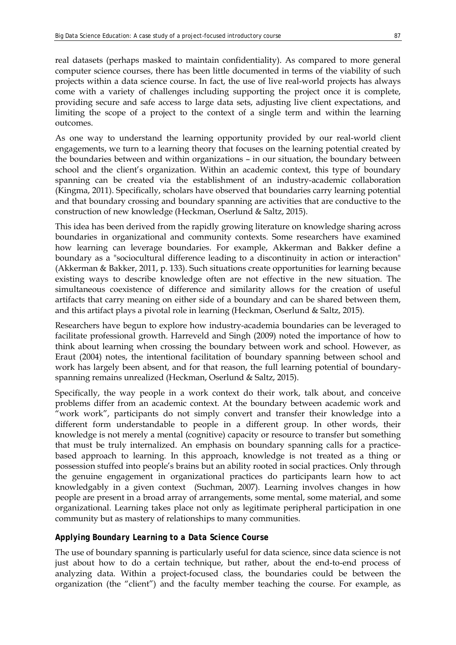real datasets (perhaps masked to maintain confidentiality). As compared to more general computer science courses, there has been little documented in terms of the viability of such projects within a data science course. In fact, the use of live real-world projects has always come with a variety of challenges including supporting the project once it is complete, providing secure and safe access to large data sets, adjusting live client expectations, and limiting the scope of a project to the context of a single term and within the learning outcomes.

As one way to understand the learning opportunity provided by our real-world client engagements, we turn to a learning theory that focuses on the learning potential created by the boundaries between and within organizations – in our situation, the boundary between school and the client's organization. Within an academic context, this type of boundary spanning can be created via the establishment of an industry-academic collaboration (Kingma, 2011). Specifically, scholars have observed that boundaries carry learning potential and that boundary crossing and boundary spanning are activities that are conductive to the construction of new knowledge (Heckman, Oserlund & Saltz, 2015).

This idea has been derived from the rapidly growing literature on knowledge sharing across boundaries in organizational and community contexts. Some researchers have examined how learning can leverage boundaries. For example, Akkerman and Bakker define a boundary as a "sociocultural difference leading to a discontinuity in action or interaction" (Akkerman & Bakker, 2011, p. 133). Such situations create opportunities for learning because existing ways to describe knowledge often are not effective in the new situation. The simultaneous coexistence of difference and similarity allows for the creation of useful artifacts that carry meaning on either side of a boundary and can be shared between them, and this artifact plays a pivotal role in learning (Heckman, Oserlund & Saltz, 2015).

Researchers have begun to explore how industry-academia boundaries can be leveraged to facilitate professional growth. Harreveld and Singh (2009) noted the importance of how to think about learning when crossing the boundary between work and school. However, as Eraut (2004) notes, the intentional facilitation of boundary spanning between school and work has largely been absent, and for that reason, the full learning potential of boundaryspanning remains unrealized (Heckman, Oserlund & Saltz, 2015).

Specifically, the way people in a work context do their work, talk about, and conceive problems differ from an academic context. At the boundary between academic work and "work work", participants do not simply convert and transfer their knowledge into a different form understandable to people in a different group. In other words, their knowledge is not merely a mental (cognitive) capacity or resource to transfer but something that must be truly internalized. An emphasis on boundary spanning calls for a practicebased approach to learning. In this approach, knowledge is not treated as a thing or possession stuffed into people's brains but an ability rooted in social practices. Only through the genuine engagement in organizational practices do participants learn how to act knowledgably in a given context (Suchman, 2007). Learning involves changes in how people are present in a broad array of arrangements, some mental, some material, and some organizational. Learning takes place not only as legitimate peripheral participation in one community but as mastery of relationships to many communities.

### *Applying Boundary Learning to a Data Science Course*

The use of boundary spanning is particularly useful for data science, since data science is not just about how to do a certain technique, but rather, about the end-to-end process of analyzing data. Within a project-focused class, the boundaries could be between the organization (the "client") and the faculty member teaching the course. For example, as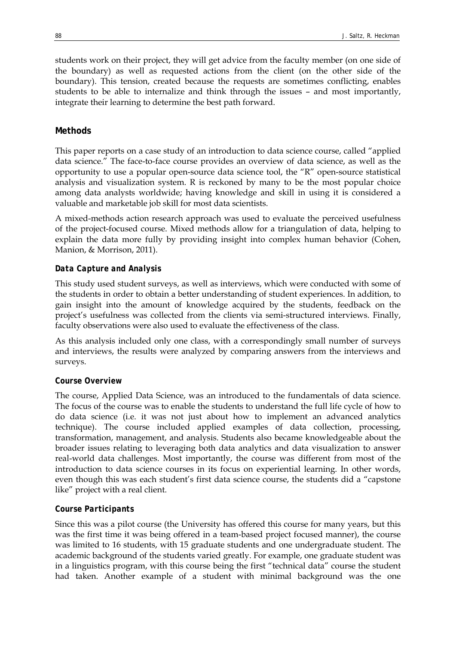students work on their project, they will get advice from the faculty member (on one side of the boundary) as well as requested actions from the client (on the other side of the boundary). This tension, created because the requests are sometimes conflicting, enables students to be able to internalize and think through the issues – and most importantly, integrate their learning to determine the best path forward.

# **Methods**

This paper reports on a case study of an introduction to data science course, called "applied data science." The face-to-face course provides an overview of data science, as well as the opportunity to use a popular open-source data science tool, the "R" open-source statistical analysis and visualization system. R is reckoned by many to be the most popular choice among data analysts worldwide; having knowledge and skill in using it is considered a valuable and marketable job skill for most data scientists.

A mixed-methods action research approach was used to evaluate the perceived usefulness of the project-focused course. Mixed methods allow for a triangulation of data, helping to explain the data more fully by providing insight into complex human behavior (Cohen, Manion, & Morrison, 2011).

## *Data Capture and Analysis*

This study used student surveys, as well as interviews, which were conducted with some of the students in order to obtain a better understanding of student experiences. In addition, to gain insight into the amount of knowledge acquired by the students, feedback on the project's usefulness was collected from the clients via semi-structured interviews. Finally, faculty observations were also used to evaluate the effectiveness of the class.

As this analysis included only one class, with a correspondingly small number of surveys and interviews, the results were analyzed by comparing answers from the interviews and surveys.

# *Course Overview*

The course, Applied Data Science, was an introduced to the fundamentals of data science. The focus of the course was to enable the students to understand the full life cycle of how to do data science (i.e. it was not just about how to implement an advanced analytics technique). The course included applied examples of data collection, processing, transformation, management, and analysis. Students also became knowledgeable about the broader issues relating to leveraging both data analytics and data visualization to answer real-world data challenges. Most importantly, the course was different from most of the introduction to data science courses in its focus on experiential learning. In other words, even though this was each student's first data science course, the students did a "capstone like" project with a real client.

# *Course Participants*

Since this was a pilot course (the University has offered this course for many years, but this was the first time it was being offered in a team-based project focused manner), the course was limited to 16 students, with 15 graduate students and one undergraduate student. The academic background of the students varied greatly. For example, one graduate student was in a linguistics program, with this course being the first "technical data" course the student had taken. Another example of a student with minimal background was the one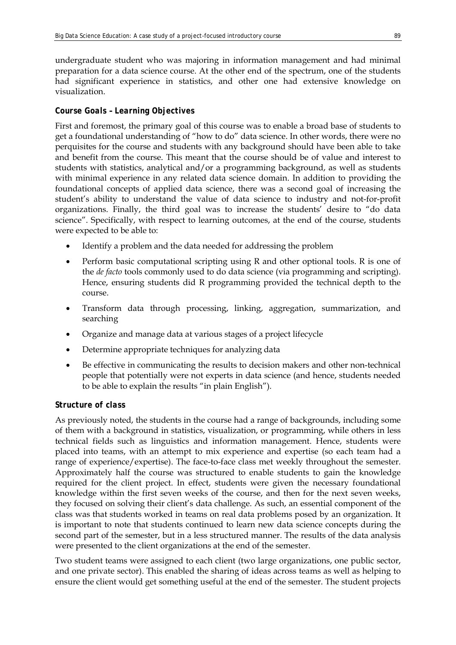undergraduate student who was majoring in information management and had minimal preparation for a data science course. At the other end of the spectrum, one of the students had significant experience in statistics, and other one had extensive knowledge on visualization.

# *Course Goals – Learning Objectives*

First and foremost, the primary goal of this course was to enable a broad base of students to get a foundational understanding of "how to do" data science. In other words, there were no perquisites for the course and students with any background should have been able to take and benefit from the course. This meant that the course should be of value and interest to students with statistics, analytical and/or a programming background, as well as students with minimal experience in any related data science domain. In addition to providing the foundational concepts of applied data science, there was a second goal of increasing the student's ability to understand the value of data science to industry and not-for-profit organizations. Finally, the third goal was to increase the students' desire to "do data science". Specifically, with respect to learning outcomes, at the end of the course, students were expected to be able to:

- Identify a problem and the data needed for addressing the problem
- Perform basic computational scripting using R and other optional tools. R is one of the *de facto* tools commonly used to do data science (via programming and scripting). Hence, ensuring students did R programming provided the technical depth to the course.
- Transform data through processing, linking, aggregation, summarization, and searching
- Organize and manage data at various stages of a project lifecycle
- Determine appropriate techniques for analyzing data
- Be effective in communicating the results to decision makers and other non-technical people that potentially were not experts in data science (and hence, students needed to be able to explain the results "in plain English").

# *Structure of class*

As previously noted, the students in the course had a range of backgrounds, including some of them with a background in statistics, visualization, or programming, while others in less technical fields such as linguistics and information management. Hence, students were placed into teams, with an attempt to mix experience and expertise (so each team had a range of experience/expertise). The face-to-face class met weekly throughout the semester. Approximately half the course was structured to enable students to gain the knowledge required for the client project. In effect, students were given the necessary foundational knowledge within the first seven weeks of the course, and then for the next seven weeks, they focused on solving their client's data challenge. As such, an essential component of the class was that students worked in teams on real data problems posed by an organization. It is important to note that students continued to learn new data science concepts during the second part of the semester, but in a less structured manner. The results of the data analysis were presented to the client organizations at the end of the semester.

Two student teams were assigned to each client (two large organizations, one public sector, and one private sector). This enabled the sharing of ideas across teams as well as helping to ensure the client would get something useful at the end of the semester. The student projects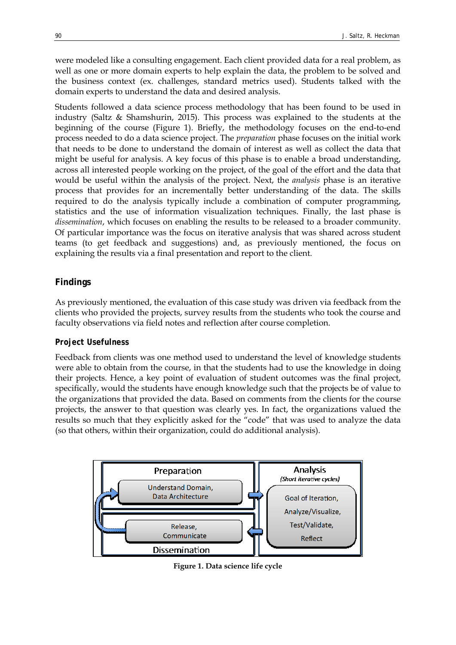were modeled like a consulting engagement. Each client provided data for a real problem, as well as one or more domain experts to help explain the data, the problem to be solved and the business context (ex. challenges, standard metrics used). Students talked with the domain experts to understand the data and desired analysis.

Students followed a data science process methodology that has been found to be used in industry (Saltz & Shamshurin, 2015). This process was explained to the students at the beginning of the course (Figure 1). Briefly, the methodology focuses on the end-to-end process needed to do a data science project. The *preparation* phase focuses on the initial work that needs to be done to understand the domain of interest as well as collect the data that might be useful for analysis. A key focus of this phase is to enable a broad understanding, across all interested people working on the project, of the goal of the effort and the data that would be useful within the analysis of the project. Next, the *analysis* phase is an iterative process that provides for an incrementally better understanding of the data. The skills required to do the analysis typically include a combination of computer programming, statistics and the use of information visualization techniques. Finally, the last phase is *dissemination*, which focuses on enabling the results to be released to a broader community. Of particular importance was the focus on iterative analysis that was shared across student teams (to get feedback and suggestions) and, as previously mentioned, the focus on explaining the results via a final presentation and report to the client.

# **Findings**

As previously mentioned, the evaluation of this case study was driven via feedback from the clients who provided the projects, survey results from the students who took the course and faculty observations via field notes and reflection after course completion.

# *Project Usefulness*

Feedback from clients was one method used to understand the level of knowledge students were able to obtain from the course, in that the students had to use the knowledge in doing their projects. Hence, a key point of evaluation of student outcomes was the final project, specifically, would the students have enough knowledge such that the projects be of value to the organizations that provided the data. Based on comments from the clients for the course projects, the answer to that question was clearly yes. In fact, the organizations valued the results so much that they explicitly asked for the "code" that was used to analyze the data (so that others, within their organization, could do additional analysis).



**Figure 1. Data science life cycle**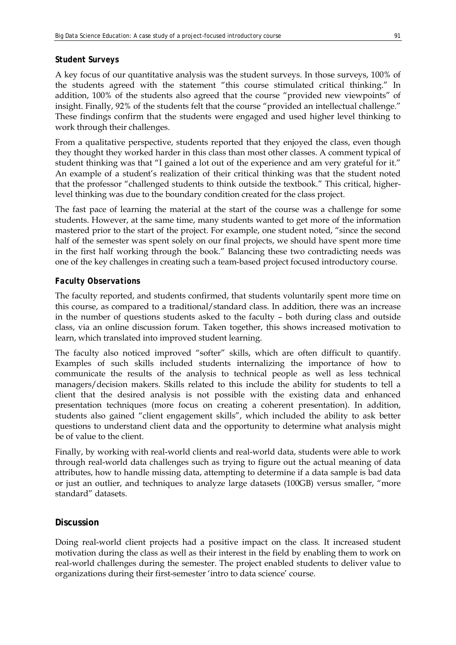## *Student Surveys*

A key focus of our quantitative analysis was the student surveys. In those surveys, 100% of the students agreed with the statement "this course stimulated critical thinking." In addition, 100% of the students also agreed that the course "provided new viewpoints" of insight. Finally, 92% of the students felt that the course "provided an intellectual challenge." These findings confirm that the students were engaged and used higher level thinking to work through their challenges.

From a qualitative perspective, students reported that they enjoyed the class, even though they thought they worked harder in this class than most other classes. A comment typical of student thinking was that "I gained a lot out of the experience and am very grateful for it." An example of a student's realization of their critical thinking was that the student noted that the professor "challenged students to think outside the textbook." This critical, higherlevel thinking was due to the boundary condition created for the class project.

The fast pace of learning the material at the start of the course was a challenge for some students. However, at the same time, many students wanted to get more of the information mastered prior to the start of the project. For example, one student noted, "since the second half of the semester was spent solely on our final projects, we should have spent more time in the first half working through the book." Balancing these two contradicting needs was one of the key challenges in creating such a team-based project focused introductory course.

# *Faculty Observations*

The faculty reported, and students confirmed, that students voluntarily spent more time on this course, as compared to a traditional/standard class. In addition, there was an increase in the number of questions students asked to the faculty – both during class and outside class, via an online discussion forum. Taken together, this shows increased motivation to learn, which translated into improved student learning.

The faculty also noticed improved "softer" skills, which are often difficult to quantify. Examples of such skills included students internalizing the importance of how to communicate the results of the analysis to technical people as well as less technical managers/decision makers. Skills related to this include the ability for students to tell a client that the desired analysis is not possible with the existing data and enhanced presentation techniques (more focus on creating a coherent presentation). In addition, students also gained "client engagement skills", which included the ability to ask better questions to understand client data and the opportunity to determine what analysis might be of value to the client.

Finally, by working with real-world clients and real-world data, students were able to work through real-world data challenges such as trying to figure out the actual meaning of data attributes, how to handle missing data, attempting to determine if a data sample is bad data or just an outlier, and techniques to analyze large datasets (100GB) versus smaller, "more standard" datasets.

# **Discussion**

Doing real-world client projects had a positive impact on the class. It increased student motivation during the class as well as their interest in the field by enabling them to work on real-world challenges during the semester. The project enabled students to deliver value to organizations during their first-semester 'intro to data science' course.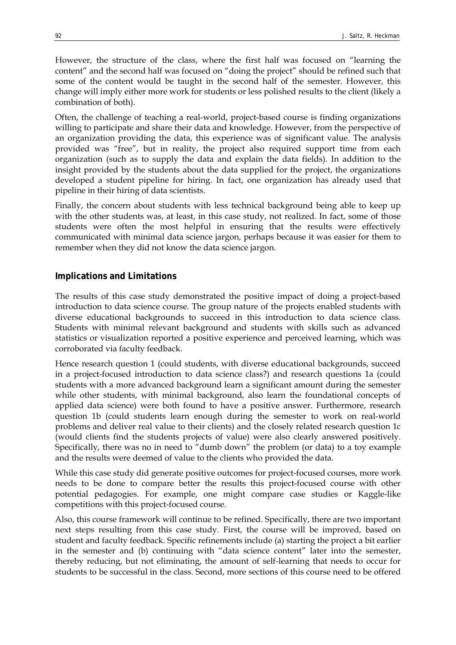However, the structure of the class, where the first half was focused on "learning the content" and the second half was focused on "doing the project" should be refined such that some of the content would be taught in the second half of the semester. However, this change will imply either more work for students or less polished results to the client (likely a combination of both).

Often, the challenge of teaching a real-world, project-based course is finding organizations willing to participate and share their data and knowledge. However, from the perspective of an organization providing the data, this experience was of significant value. The analysis provided was "free", but in reality, the project also required support time from each organization (such as to supply the data and explain the data fields). In addition to the insight provided by the students about the data supplied for the project, the organizations developed a student pipeline for hiring. In fact, one organization has already used that pipeline in their hiring of data scientists.

Finally, the concern about students with less technical background being able to keep up with the other students was, at least, in this case study, not realized. In fact, some of those students were often the most helpful in ensuring that the results were effectively communicated with minimal data science jargon, perhaps because it was easier for them to remember when they did not know the data science jargon.

## **Implications and Limitations**

The results of this case study demonstrated the positive impact of doing a project-based introduction to data science course. The group nature of the projects enabled students with diverse educational backgrounds to succeed in this introduction to data science class. Students with minimal relevant background and students with skills such as advanced statistics or visualization reported a positive experience and perceived learning, which was corroborated via faculty feedback.

Hence research question 1 (could students, with diverse educational backgrounds, succeed in a project-focused introduction to data science class?) and research questions 1a (could students with a more advanced background learn a significant amount during the semester while other students, with minimal background, also learn the foundational concepts of applied data science) were both found to have a positive answer. Furthermore, research question 1b (could students learn enough during the semester to work on real-world problems and deliver real value to their clients) and the closely related research question 1c (would clients find the students projects of value) were also clearly answered positively. Specifically, there was no in need to "dumb down" the problem (or data) to a toy example and the results were deemed of value to the clients who provided the data.

While this case study did generate positive outcomes for project-focused courses, more work needs to be done to compare better the results this project-focused course with other potential pedagogies. For example, one might compare case studies or Kaggle-like competitions with this project-focused course.

Also, this course framework will continue to be refined. Specifically, there are two important next steps resulting from this case study. First, the course will be improved, based on student and faculty feedback. Specific refinements include (a) starting the project a bit earlier in the semester and (b) continuing with "data science content" later into the semester, thereby reducing, but not eliminating, the amount of self-learning that needs to occur for students to be successful in the class. Second, more sections of this course need to be offered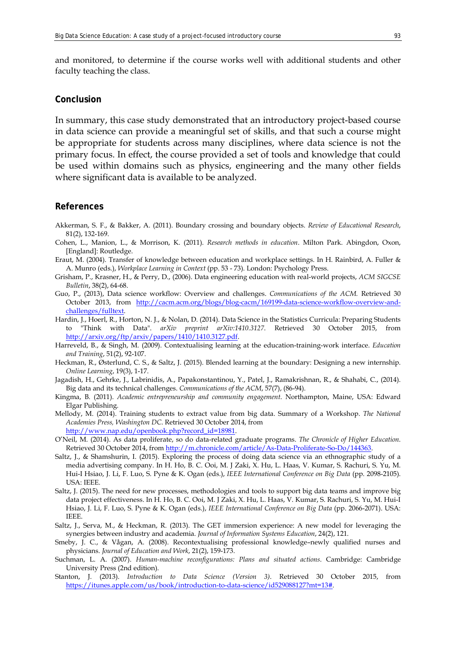and monitored, to determine if the course works well with additional students and other faculty teaching the class.

### **Conclusion**

In summary, this case study demonstrated that an introductory project-based course in data science can provide a meaningful set of skills, and that such a course might be appropriate for students across many disciplines, where data science is not the primary focus. In effect, the course provided a set of tools and knowledge that could be used within domains such as physics, engineering and the many other fields where significant data is available to be analyzed.

### **References**

- Akkerman, S. F., & Bakker, A. (2011). Boundary crossing and boundary objects. *Review of Educational Research*, 81(2), 132-169.
- Cohen, L., Manion, L., & Morrison, K. (2011). *Research methods in education*. Milton Park. Abingdon, Oxon, [England]: Routledge.
- Eraut, M. (2004). Transfer of knowledge between education and workplace settings. In H. Rainbird, A. Fuller & A. Munro (eds.), *Workplace Learning in Context* (pp. 53 - 73). London: Psychology Press.
- Grisham, P., Krasner, H., & Perry, D., (2006). Data engineering education with real-world projects, *ACM SIGCSE Bulletin*, 38(2), 64-68.
- Guo, P., (2013), Data science workflow: Overview and challenges. *Communications of the ACM.* Retrieved 30 October 2013, from [http://cacm.acm.org/blogs/blog-cacm/169199-data-science-workflow-overview-and](http://cacm.acm.org/blogs/blog-cacm/169199-data-science-workflow-overview-and-challenges/fulltext)[challenges/fulltext.](http://cacm.acm.org/blogs/blog-cacm/169199-data-science-workflow-overview-and-challenges/fulltext)
- Hardin, J., Hoerl, R., Horton, N. J., & Nolan, D. (2014). Data Science in the Statistics Curricula: Preparing Students to "Think with Data". *arXiv preprint arXiv:1410.3127*. Retrieved 30 October 2015, from [http://arxiv.org/ftp/arxiv/papers/1410/1410.3127.pdf.](http://arxiv.org/ftp/arxiv/papers/1410/1410.3127.pdf)
- Harreveld, B., & Singh, M. (2009). Contextualising learning at the education-training-work interface. *Education and Training*, 51(2), 92-107.
- Heckman, R., Østerlund, C. S., & Saltz, J. (2015). Blended learning at the boundary: Designing a new internship. *Online Learning*, 19(3), 1-17.
- Jagadish, H., Gehrke, J., Labrinidis, A., Papakonstantinou, Y., Patel, J., Ramakrishnan, R., & Shahabi, C., (2014). Big data and its technical challenges. *Communications of the ACM*, 57(7), (86-94).
- Kingma, B. (2011). *Academic entrepreneurship and community engagement*. Northampton, Maine, USA: Edward Elgar Publishing.
- Mellody, M. (2014). Training students to extract value from big data. Summary of a Workshop. *The National Academies Press, Washington DC*. Retrieved 30 October 2014, from [http://www.nap.edu/openbook.php?record\\_id=18981.](http://www.nap.edu/openbook.php?record_id=18981)
- O'Neil, M. (2014). As data proliferate, so do data-related graduate programs. *The Chronicle of Higher Education*. Retrieved 30 October 2014, fro[m http://m.chronicle.com/article/As-Data-Proliferate-So-Do/144363.](http://m.chronicle.com/article/As-Data-Proliferate-So-Do/144363)
- Saltz, J., & Shamshurin, I. (2015). Exploring the process of doing data science via an ethnographic study of a media advertising company. In H. Ho, B. C. Ooi, M. J Zaki, X. Hu, L. Haas, V. Kumar, S. Rachuri, S. Yu, M. Hui-I Hsiao, J. Li, F. Luo, S. Pyne & K. Ogan (eds.), *IEEE International Conference on Big Data* (pp. 2098-2105). USA: IEEE.
- Saltz, J. (2015). The need for new processes, methodologies and tools to support big data teams and improve big data project effectiveness. In H. Ho, B. C. Ooi, M. J Zaki, X. Hu, L. Haas, V. Kumar, S. Rachuri, S. Yu, M. Hui-I Hsiao, J. Li, F. Luo, S. Pyne & K. Ogan (eds.), *IEEE International Conference on Big Data* (pp. 2066-2071). USA: IEEE.
- Saltz, J., Serva, M., & Heckman, R. (2013). The GET immersion experience: A new model for leveraging the synergies between industry and academia. *Journal of Information Systems Education*, 24(2), 121.
- Smeby, J. C., & Vågan, A. (2008). Recontextualising professional knowledge–newly qualified nurses and physicians. *Journal of Education and Work*, 21(2), 159-173.
- Suchman, L. A. (2007). *Human-machine reconfigurations: Plans and situated actions*. Cambridge: Cambridge University Press (2nd edition).
- Stanton, J. (2013). *Introduction to Data Science (Version 3)*. Retrieved 30 October 2015, from [https://itunes.apple.com/us/book/introduction-to-data-science/id529088127?mt=13#.](https://itunes.apple.com/us/book/introduction-to-data-science/id529088127?mt=13)